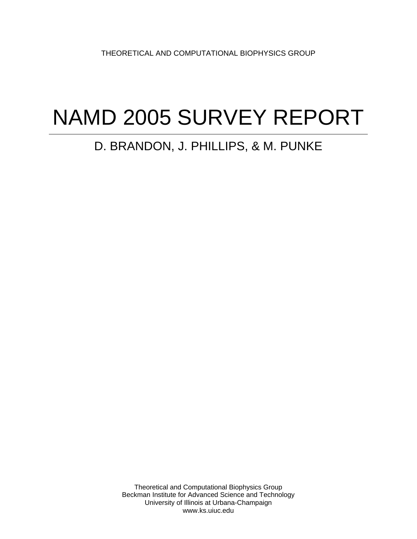THEORETICAL AND COMPUTATIONAL BIOPHYSICS GROUP

# NAMD 2005 SURVEY REPORT

# D. BRANDON, J. PHILLIPS, & M. PUNKE

Theoretical and Computational Biophysics Group Beckman Institute for Advanced Science and Technology University of Illinois at Urbana-Champaign www.ks.uiuc.edu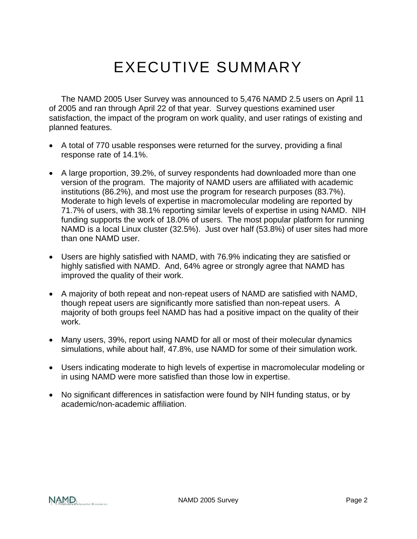# EXECUTIVE SUMMARY

The NAMD 2005 User Survey was announced to 5,476 NAMD 2.5 users on April 11 of 2005 and ran through April 22 of that year. Survey questions examined user satisfaction, the impact of the program on work quality, and user ratings of existing and planned features.

- A total of 770 usable responses were returned for the survey, providing a final response rate of 14.1%.
- A large proportion, 39.2%, of survey respondents had downloaded more than one version of the program. The majority of NAMD users are affiliated with academic institutions (86.2%), and most use the program for research purposes (83.7%). Moderate to high levels of expertise in macromolecular modeling are reported by 71.7% of users, with 38.1% reporting similar levels of expertise in using NAMD. NIH funding supports the work of 18.0% of users. The most popular platform for running NAMD is a local Linux cluster (32.5%). Just over half (53.8%) of user sites had more than one NAMD user.
- Users are highly satisfied with NAMD, with 76.9% indicating they are satisfied or highly satisfied with NAMD. And, 64% agree or strongly agree that NAMD has improved the quality of their work.
- A majority of both repeat and non-repeat users of NAMD are satisfied with NAMD, though repeat users are significantly more satisfied than non-repeat users. A majority of both groups feel NAMD has had a positive impact on the quality of their work.
- Many users, 39%, report using NAMD for all or most of their molecular dynamics simulations, while about half, 47.8%, use NAMD for some of their simulation work.
- Users indicating moderate to high levels of expertise in macromolecular modeling or in using NAMD were more satisfied than those low in expertise.
- No significant differences in satisfaction were found by NIH funding status, or by academic/non-academic affiliation.

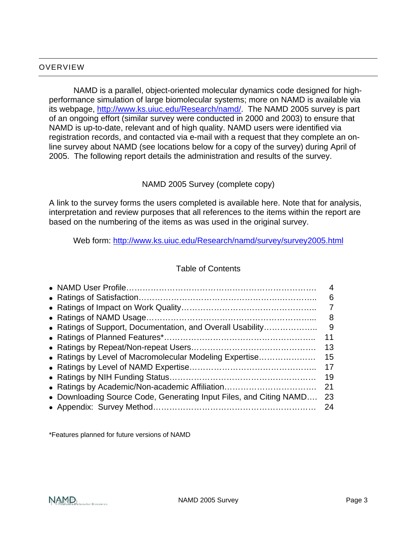#### OVERVIEW

NAMD is a parallel, object-oriented molecular dynamics code designed for highperformance simulation of large biomolecular systems; more on NAMD is available via its webpage, <http://www.ks.uiuc.edu/Research/namd/>. The NAMD 2005 survey is part of an ongoing effort (similar survey were conducted in 2000 and 2003) to ensure that NAMD is up-to-date, relevant and of high quality. NAMD users were identified via registration records, and contacted via e-mail with a request that they complete an online survey about NAMD (see locations below for a copy of the survey) during April of 2005. The following report details the administration and results of the survey.

#### NAMD 2005 Survey (complete copy)

A link to the survey forms the users completed is available here. Note that for analysis, interpretation and review purposes that all references to the items within the report are based on the numbering of the items as was used in the original survey.

Web form:<http://www.ks.uiuc.edu/Research/namd/survey/survey2005.html>

### Table of Contents

|                                                                    | 4  |
|--------------------------------------------------------------------|----|
|                                                                    | 6  |
|                                                                    |    |
|                                                                    | 8  |
| • Ratings of Support, Documentation, and Overall Usability         | 9  |
|                                                                    | 11 |
|                                                                    | 13 |
| • Ratings by Level of Macromolecular Modeling Expertise            | 15 |
|                                                                    | 17 |
|                                                                    | 19 |
| • Ratings by Academic/Non-academic Affiliation                     | 21 |
| • Downloading Source Code, Generating Input Files, and Citing NAMD | 23 |
|                                                                    | 24 |
|                                                                    |    |

\*Features planned for future versions of NAMD

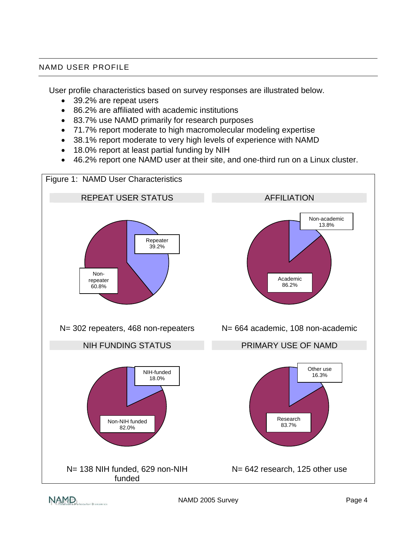#### NAMD USER PROFILE

User profile characteristics based on survey responses are illustrated below.

- 39.2% are repeat users
- 86.2% are affiliated with academic institutions
- 83.7% use NAMD primarily for research purposes
- 71.7% report moderate to high macromolecular modeling expertise
- 38.1% report moderate to very high levels of experience with NAMD
- 18.0% report at least partial funding by NIH
- 46.2% report one NAMD user at their site, and one-third run on a Linux cluster.

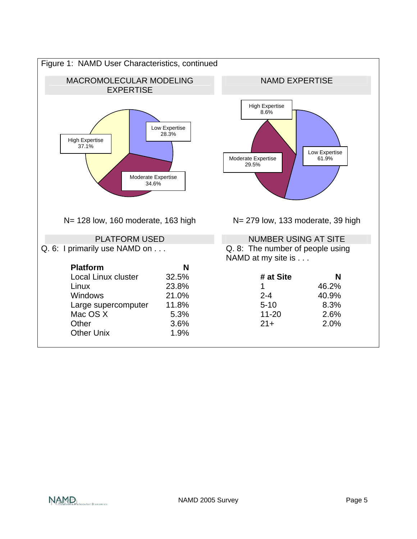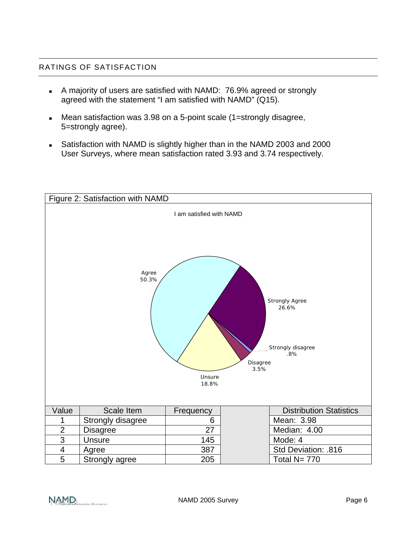#### RATINGS OF SATISFACTION

- A majority of users are satisfied with NAMD: 76.9% agreed or strongly agreed with the statement "I am satisfied with NAMD" (Q15).
- Mean satisfaction was 3.98 on a 5-point scale (1=strongly disagree, 5=strongly agree).
- Satisfaction with NAMD is slightly higher than in the NAMD 2003 and 2000 User Surveys, where mean satisfaction rated 3.93 and 3.74 respectively.



NAMD,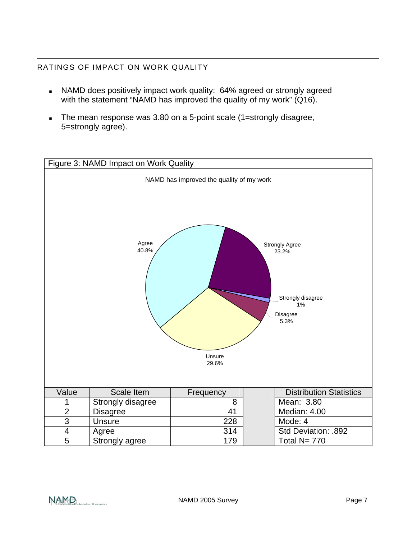## RATINGS OF IMPACT ON WORK QUALITY

- NAMD does positively impact work quality: 64% agreed or strongly agreed with the statement "NAMD has improved the quality of my work" (Q16).
- The mean response was 3.80 on a 5-point scale (1=strongly disagree, 5=strongly agree).



NAMD<sub>SCala</sub> De Molecular Dynamics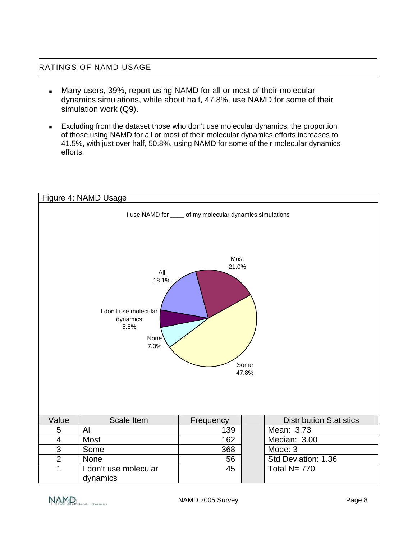#### RATINGS OF NAMD USAGE

- Many users, 39%, report using NAMD for all or most of their molecular dynamics simulations, while about half, 47.8%, use NAMD for some of their simulation work (Q9).
- **Excluding from the dataset those who don't use molecular dynamics, the proportion** of those using NAMD for all or most of their molecular dynamics efforts increases to 41.5%, with just over half, 50.8%, using NAMD for some of their molecular dynamics efforts.

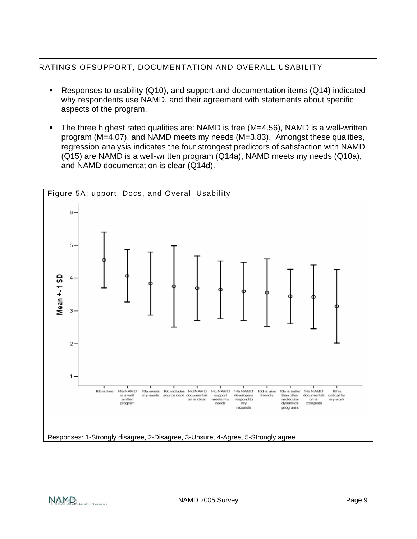# RATINGS OFSUPPORT, DOCUMENTATION AND OVERALL USABILITY

- Responses to usability (Q10), and support and documentation items (Q14) indicated why respondents use NAMD, and their agreement with statements about specific aspects of the program.
- The three highest rated qualities are: NAMD is free (M=4.56), NAMD is a well-written program (M=4.07), and NAMD meets my needs (M=3.83). Amongst these qualities, regression analysis indicates the four strongest predictors of satisfaction with NAMD (Q15) are NAMD is a well-written program (Q14a), NAMD meets my needs (Q10a), and NAMD documentation is clear (Q14d).



NAMD,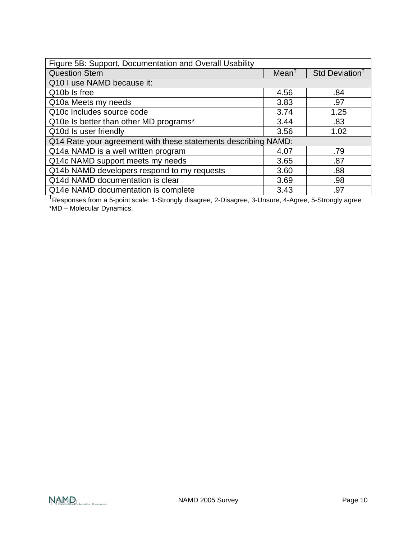| Figure 5B: Support, Documentation and Overall Usability        |                  |                            |
|----------------------------------------------------------------|------------------|----------------------------|
| <b>Question Stem</b>                                           | $Mean^{\dagger}$ | Std Deviation <sup>†</sup> |
| Q10 I use NAMD because it:                                     |                  |                            |
| Q10b Is free                                                   | 4.56             | .84                        |
| Q10a Meets my needs                                            | 3.83             | .97                        |
| Q10c Includes source code                                      | 3.74             | 1.25                       |
| Q10e Is better than other MD programs*                         | 3.44             | .83                        |
| Q10d Is user friendly                                          | 3.56             | 1.02                       |
| Q14 Rate your agreement with these statements describing NAMD: |                  |                            |
| Q14a NAMD is a well written program                            | 4.07             | .79                        |
| Q14c NAMD support meets my needs                               | 3.65             | .87                        |
| Q14b NAMD developers respond to my requests                    | 3.60             | .88                        |
| Q14d NAMD documentation is clear                               | 3.69             | .98                        |
| Q14e NAMD documentation is complete                            |                  | .97                        |

† Responses from a 5-point scale: 1-Strongly disagree, 2-Disagree, 3-Unsure, 4-Agree, 5-Strongly agree \*MD – Molecular Dynamics.

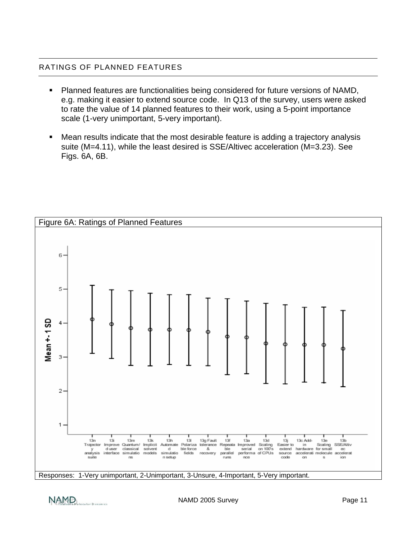#### RATINGS OF PLANNED FEATURES

- Planned features are functionalities being considered for future versions of NAMD, e.g. making it easier to extend source code. In Q13 of the survey, users were asked to rate the value of 14 planned features to their work, using a 5-point importance scale (1-very unimportant, 5-very important).
- Mean results indicate that the most desirable feature is adding a trajectory analysis suite (M=4.11), while the least desired is SSE/Altivec acceleration (M=3.23). See Figs. 6A, 6B.



Responses: 1-Very unimportant, 2-Unimportant, 3-Unsure, 4-Important, 5-Very important.

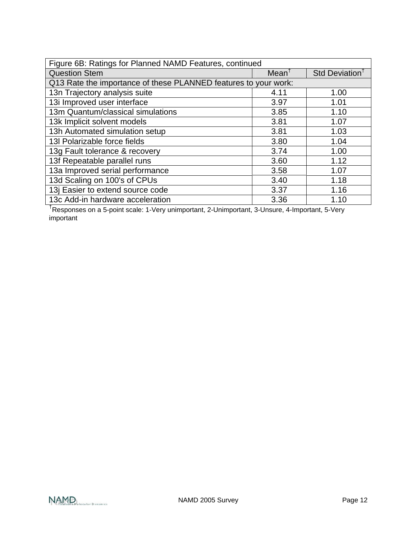| Figure 6B: Ratings for Planned NAMD Features, continued         |                   |                            |
|-----------------------------------------------------------------|-------------------|----------------------------|
| <b>Question Stem</b>                                            | Mean <sup>T</sup> | Std Deviation <sup>†</sup> |
| Q13 Rate the importance of these PLANNED features to your work: |                   |                            |
| 13n Trajectory analysis suite                                   | 4.11              | 1.00                       |
| 13i Improved user interface                                     | 3.97              | 1.01                       |
| 13m Quantum/classical simulations                               | 3.85              | 1.10                       |
| 13k Implicit solvent models                                     | 3.81              | 1.07                       |
| 13h Automated simulation setup                                  | 3.81              | 1.03                       |
| 13 Polarizable force fields                                     | 3.80              | 1.04                       |
| 13g Fault tolerance & recovery                                  | 3.74              | 1.00                       |
| 13f Repeatable parallel runs                                    | 3.60              | 1.12                       |
| 13a Improved serial performance                                 | 3.58              | 1.07                       |
| 13d Scaling on 100's of CPUs                                    | 3.40              | 1.18                       |
| 13j Easier to extend source code                                | 3.37              | 1.16                       |
| 13c Add-in hardware acceleration                                | 3.36              | 1.10                       |

† Responses on a 5-point scale: 1-Very unimportant, 2-Unimportant, 3-Unsure, 4-Important, 5-Very important

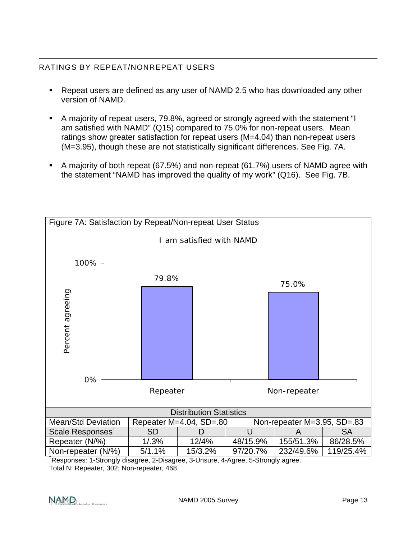### RATINGS BY REPEAT/NONREPEAT USERS

- Repeat users are defined as any user of NAMD 2.5 who has downloaded any other version of NAMD.
- A majority of repeat users, 79.8%, agreed or strongly agreed with the statement "I am satisfied with NAMD" (Q15) compared to 75.0% for non-repeat users. Mean ratings show greater satisfaction for repeat users (M=4.04) than non-repeat users (M=3.95), though these are not statistically significant differences. See Fig. 7A.
- A majority of both repeat (67.5%) and non-repeat (61.7%) users of NAMD agree with the statement "NAMD has improved the quality of my work" (Q16). See Fig. 7B.



† Responses: 1-Strongly disagree, 2-Disagree, 3-Unsure, 4-Agree, 5-Strongly agree. Total N: Repeater, 302; Non-repeater, 468.

NAMD, Incutar Dynamics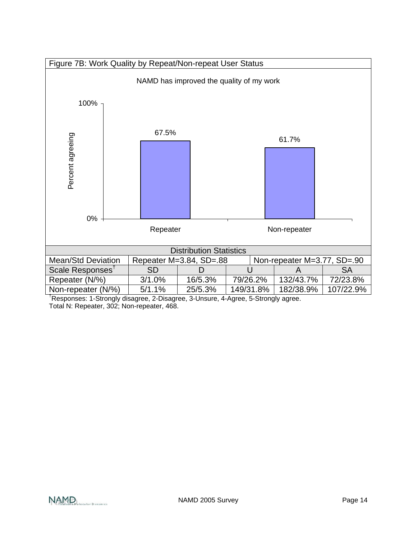

† Responses: 1-Strongly disagree, 2-Disagree, 3-Unsure, 4-Agree, 5-Strongly agree. Total N: Repeater, 302; Non-repeater, 468.

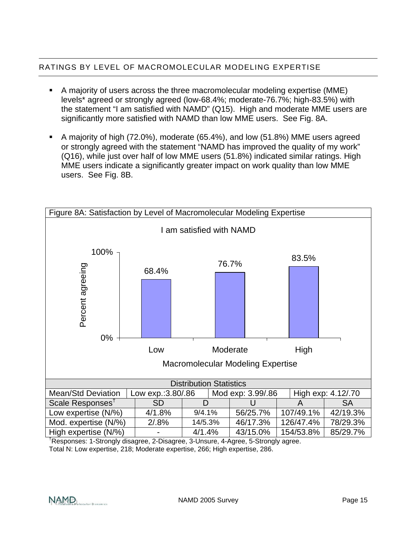# RATINGS BY LEVEL OF MACROMOLECULAR MODELING EXPERTISE

- A majority of users across the three macromolecular modeling expertise (MME) levels\* agreed or strongly agreed (low-68.4%; moderate-76.7%; high-83.5%) with the statement "I am satisfied with NAMD" (Q15). High and moderate MME users are significantly more satisfied with NAMD than low MME users. See Fig. 8A.
- A majority of high (72.0%), moderate (65.4%), and low (51.8%) MME users agreed or strongly agreed with the statement "NAMD has improved the quality of my work" (Q16), while just over half of low MME users (51.8%) indicated similar ratings. High MME users indicate a significantly greater impact on work quality than low MME users. See Fig. 8B.



† Responses: 1-Strongly disagree, 2-Disagree, 3-Unsure, 4-Agree, 5-Strongly agree. Total N: Low expertise, 218; Moderate expertise, 266; High expertise, 286.

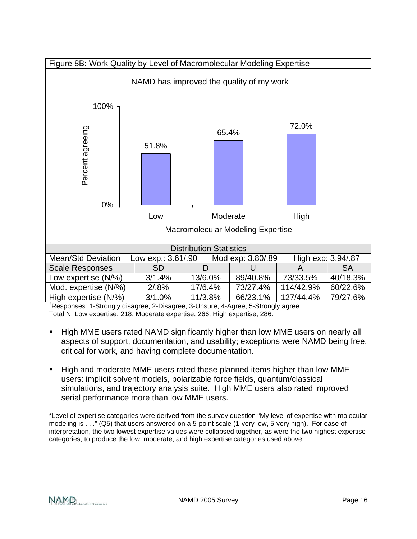

† Responses: 1-Strongly disagree, 2-Disagree, 3-Unsure, 4-Agree, 5-Strongly agree Total N: Low expertise, 218; Moderate expertise, 266; High expertise, 286.

- High MME users rated NAMD significantly higher than low MME users on nearly all aspects of support, documentation, and usability; exceptions were NAMD being free, critical for work, and having complete documentation.
- High and moderate MME users rated these planned items higher than low MME users: implicit solvent models, polarizable force fields, quantum/classical simulations, and trajectory analysis suite. High MME users also rated improved serial performance more than low MME users.

\*Level of expertise categories were derived from the survey question "My level of expertise with molecular modeling is . . ." (Q5) that users answered on a 5-point scale (1-very low, 5-very high). For ease of interpretation, the two lowest expertise values were collapsed together, as were the two highest expertise categories, to produce the low, moderate, and high expertise categories used above.

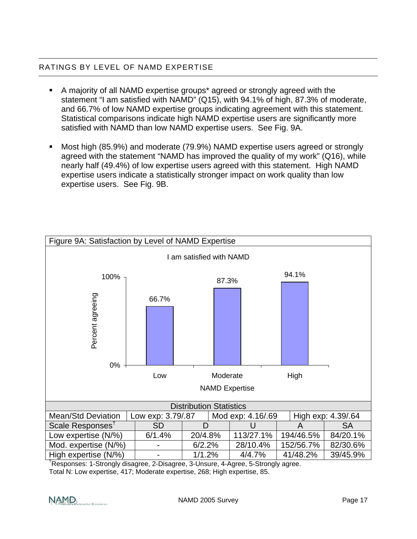# RATINGS BY LEVEL OF NAMD EXPERTISE

- A majority of all NAMD expertise groups\* agreed or strongly agreed with the statement "I am satisfied with NAMD" (Q15), with 94.1% of high, 87.3% of moderate, and 66.7% of low NAMD expertise groups indicating agreement with this statement. Statistical comparisons indicate high NAMD expertise users are significantly more satisfied with NAMD than low NAMD expertise users. See Fig. 9A.
- Most high (85.9%) and moderate (79.9%) NAMD expertise users agreed or strongly agreed with the statement "NAMD has improved the quality of my work" (Q16), while nearly half (49.4%) of low expertise users agreed with this statement. High NAMD expertise users indicate a statistically stronger impact on work quality than low expertise users. See Fig. 9B.



† Responses: 1-Strongly disagree, 2-Disagree, 3-Unsure, 4-Agree, 5-Strongly agree.

Total N: Low expertise, 417; Moderate expertise, 268; High expertise, 85.

NAMD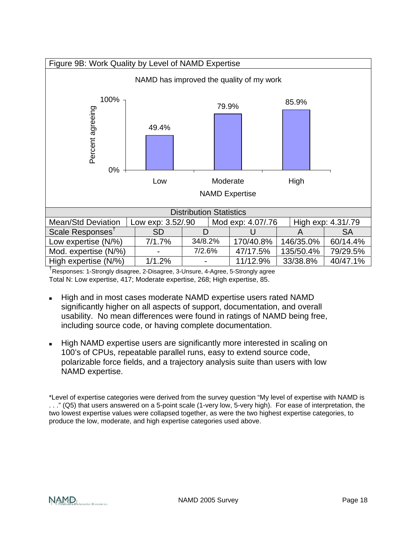

† Responses: 1-Strongly disagree, 2-Disagree, 3-Unsure, 4-Agree, 5-Strongly agree Total N: Low expertise, 417; Moderate expertise, 268; High expertise, 85.

- High and in most cases moderate NAMD expertise users rated NAMD significantly higher on all aspects of support, documentation, and overall usability. No mean differences were found in ratings of NAMD being free, including source code, or having complete documentation.
- High NAMD expertise users are significantly more interested in scaling on 100's of CPUs, repeatable parallel runs, easy to extend source code, polarizable force fields, and a trajectory analysis suite than users with low NAMD expertise.

\*Level of expertise categories were derived from the survey question "My level of expertise with NAMD is . . ." (Q5) that users answered on a 5-point scale (1-very low, 5-very high). For ease of interpretation, the two lowest expertise values were collapsed together, as were the two highest expertise categories, to produce the low, moderate, and high expertise categories used above.

NAMD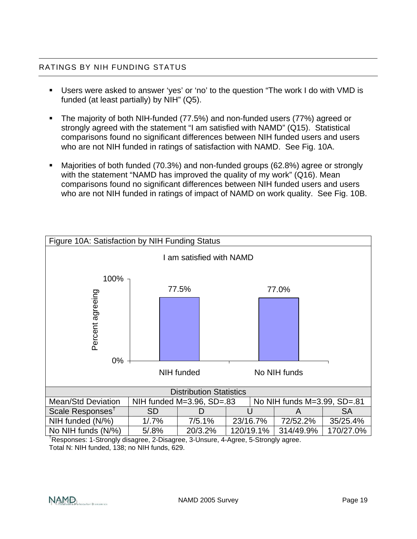# RATINGS BY NIH FUNDING STATUS

- Users were asked to answer 'yes' or 'no' to the question "The work I do with VMD is funded (at least partially) by NIH" (Q5).
- The majority of both NIH-funded (77.5%) and non-funded users (77%) agreed or strongly agreed with the statement "I am satisfied with NAMD" (Q15). Statistical comparisons found no significant differences between NIH funded users and users who are not NIH funded in ratings of satisfaction with NAMD. See Fig. 10A.
- Majorities of both funded (70.3%) and non-funded groups (62.8%) agree or strongly with the statement "NAMD has improved the quality of my work" (Q16). Mean comparisons found no significant differences between NIH funded users and users who are not NIH funded in ratings of impact of NAMD on work quality. See Fig. 10B.



† Responses: 1-Strongly disagree, 2-Disagree, 3-Unsure, 4-Agree, 5-Strongly agree. Total N: NIH funded, 138; no NIH funds, 629.

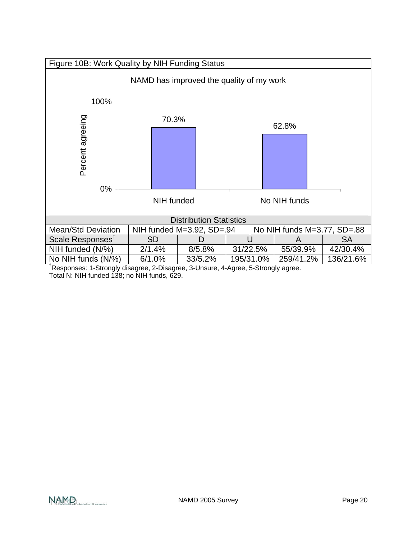

† Responses: 1-Strongly disagree, 2-Disagree, 3-Unsure, 4-Agree, 5-Strongly agree. Total N: NIH funded 138; no NIH funds, 629.

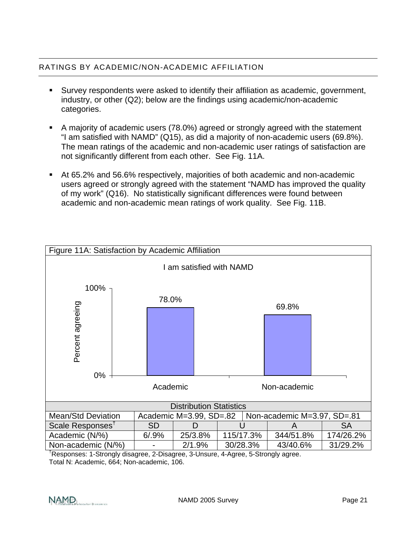# RATINGS BY ACADEMIC/NON-ACADEMIC AFFILIATION

- Survey respondents were asked to identify their affiliation as academic, government, industry, or other (Q2); below are the findings using academic/non-academic categories.
- A majority of academic users (78.0%) agreed or strongly agreed with the statement "I am satisfied with NAMD" (Q15), as did a majority of non-academic users (69.8%). The mean ratings of the academic and non-academic user ratings of satisfaction are not significantly different from each other. See Fig. 11A.
- At 65.2% and 56.6% respectively, majorities of both academic and non-academic users agreed or strongly agreed with the statement "NAMD has improved the quality of my work" (Q16). No statistically significant differences were found between academic and non-academic mean ratings of work quality. See Fig. 11B.



† Responses: 1-Strongly disagree, 2-Disagree, 3-Unsure, 4-Agree, 5-Strongly agree. Total N: Academic, 664; Non-academic, 106.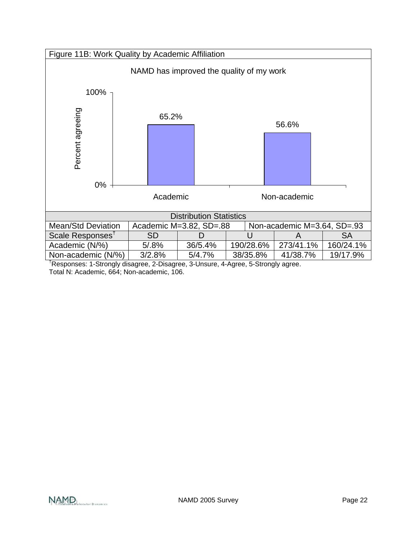

† Responses: 1-Strongly disagree, 2-Disagree, 3-Unsure, 4-Agree, 5-Strongly agree. Total N: Academic, 664; Non-academic, 106.

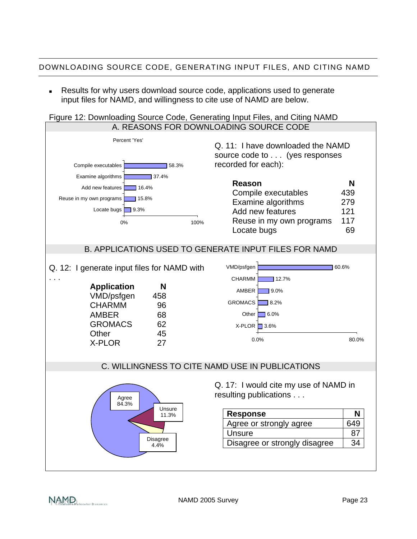# DOWNLOADING SOURCE CODE, GENERATING INPUT FILES, AND CITING NAMD

 Results for why users download source code, applications used to generate input files for NAMD, and willingness to cite use of NAMD are below.

# Figure 12: Downloading Source Code, Generating Input Files, and Citing NAMD



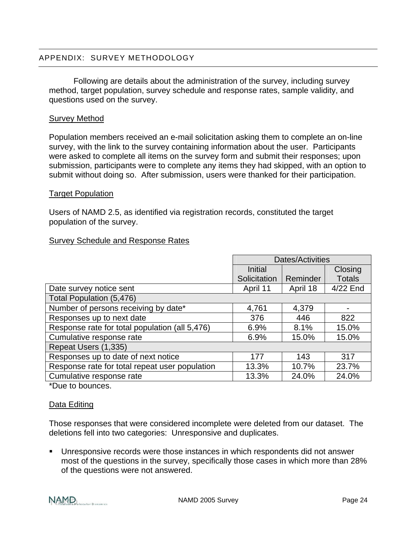#### APPENDIX: SURVEY METHODOLOGY

Following are details about the administration of the survey, including survey method, target population, survey schedule and response rates, sample validity, and questions used on the survey.

#### Survey Method

Population members received an e-mail solicitation asking them to complete an on-line survey, with the link to the survey containing information about the user. Participants were asked to complete all items on the survey form and submit their responses; upon submission, participants were to complete any items they had skipped, with an option to submit without doing so. After submission, users were thanked for their participation.

#### Target Population

Users of NAMD 2.5, as identified via registration records, constituted the target population of the survey.

#### Survey Schedule and Response Rates

|                                                | Dates/Activities |          |               |
|------------------------------------------------|------------------|----------|---------------|
|                                                | Initial          |          | Closing       |
|                                                | Solicitation     | Reminder | <b>Totals</b> |
| Date survey notice sent                        | April 11         | April 18 | 4/22 End      |
| Total Population (5,476)                       |                  |          |               |
| Number of persons receiving by date*           | 4,761            | 4,379    |               |
| Responses up to next date                      | 376              | 446      | 822           |
| Response rate for total population (all 5,476) | 6.9%             | 8.1%     | 15.0%         |
| Cumulative response rate                       | 6.9%             | 15.0%    | 15.0%         |
| Repeat Users (1,335)                           |                  |          |               |
| Responses up to date of next notice            | 177              | 143      | 317           |
| Response rate for total repeat user population | 13.3%            | 10.7%    | 23.7%         |
| Cumulative response rate                       | 13.3%            | 24.0%    | 24.0%         |

\*Due to bounces.

#### Data Editing

Those responses that were considered incomplete were deleted from our dataset. The deletions fell into two categories: Unresponsive and duplicates.

 Unresponsive records were those instances in which respondents did not answer most of the questions in the survey, specifically those cases in which more than 28% of the questions were not answered.

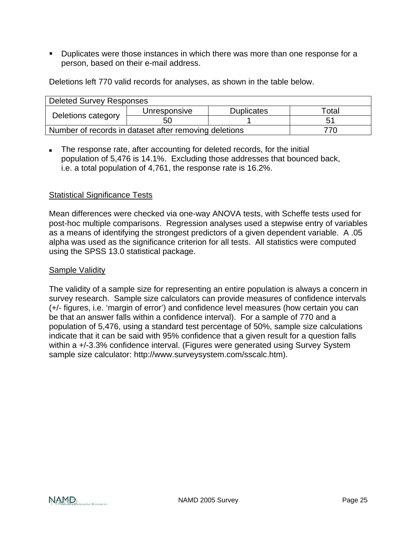Duplicates were those instances in which there was more than one response for a person, based on their e-mail address.

Deletions left 770 valid records for analyses, as shown in the table below.

| <b>Deleted Survey Responses</b>                              |              |                   |       |
|--------------------------------------------------------------|--------------|-------------------|-------|
| Deletions category                                           | Unresponsive | <b>Duplicates</b> | Total |
|                                                              | 50           |                   | 51    |
| Number of records in dataset after removing deletions<br>770 |              |                   |       |

The response rate, after accounting for deleted records, for the initial population of 5,476 is 14.1%. Excluding those addresses that bounced back, i.e. a total population of 4,761, the response rate is 16.2%.

#### Statistical Significance Tests

Mean differences were checked via one-way ANOVA tests, with Scheffe tests used for post-hoc multiple comparisons. Regression analyses used a stepwise entry of variables as a means of identifying the strongest predictors of a given dependent variable. A .05 alpha was used as the significance criterion for all tests. All statistics were computed using the SPSS 13.0 statistical package.

#### Sample Validity

The validity of a sample size for representing an entire population is always a concern in survey research. Sample size calculators can provide measures of confidence intervals (+/- figures, i.e. 'margin of error') and confidence level measures (how certain you can be that an answer falls within a confidence interval). For a sample of 770 and a population of 5,476, using a standard test percentage of 50%, sample size calculations indicate that it can be said with 95% confidence that a given result for a question falls within a  $+/-3.3\%$  confidence interval. (Figures were generated using Survey System sample size calculator: http://www.surveysystem.com/sscalc.htm).

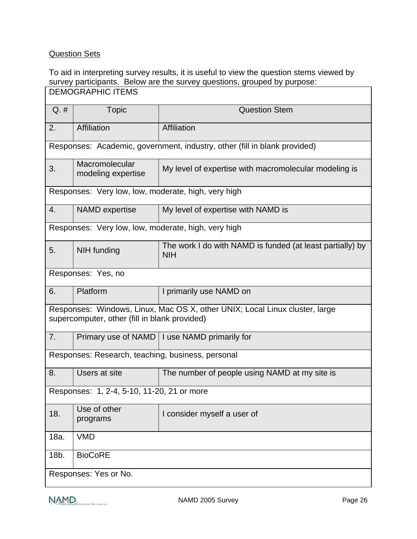# Question Sets

#### To aid in interpreting survey results, it is useful to view the question stems viewed by survey participants. Below are the survey questions, grouped by purpose: DEMOGRAPHIC ITEMS

| $Q.$ #                                                                                                                       | <b>Topic</b>                                                              | <b>Question Stem</b>                                                    |  |
|------------------------------------------------------------------------------------------------------------------------------|---------------------------------------------------------------------------|-------------------------------------------------------------------------|--|
| 2.                                                                                                                           | Affiliation                                                               | Affiliation                                                             |  |
|                                                                                                                              | Responses: Academic, government, industry, other (fill in blank provided) |                                                                         |  |
| 3.                                                                                                                           | Macromolecular<br>modeling expertise                                      | My level of expertise with macromolecular modeling is                   |  |
|                                                                                                                              | Responses: Very low, low, moderate, high, very high                       |                                                                         |  |
| 4.                                                                                                                           | <b>NAMD</b> expertise                                                     | My level of expertise with NAMD is                                      |  |
|                                                                                                                              | Responses: Very low, low, moderate, high, very high                       |                                                                         |  |
| 5.                                                                                                                           | NIH funding                                                               | The work I do with NAMD is funded (at least partially) by<br><b>NIH</b> |  |
|                                                                                                                              | Responses: Yes, no                                                        |                                                                         |  |
| 6.                                                                                                                           | Platform                                                                  | I primarily use NAMD on                                                 |  |
| Responses: Windows, Linux, Mac OS X, other UNIX; Local Linux cluster, large<br>supercomputer, other (fill in blank provided) |                                                                           |                                                                         |  |
| 7.                                                                                                                           |                                                                           | Primary use of NAMD   I use NAMD primarily for                          |  |
| Responses: Research, teaching, business, personal                                                                            |                                                                           |                                                                         |  |
| 8.                                                                                                                           | Users at site                                                             | The number of people using NAMD at my site is                           |  |
| Responses: 1, 2-4, 5-10, 11-20, 21 or more                                                                                   |                                                                           |                                                                         |  |
| 18.                                                                                                                          | Use of other<br>programs                                                  | I consider myself a user of                                             |  |
| 18a.                                                                                                                         | <b>VMD</b>                                                                |                                                                         |  |
| 18b.                                                                                                                         | <b>BioCoRE</b>                                                            |                                                                         |  |
|                                                                                                                              | Responses: Yes or No.                                                     |                                                                         |  |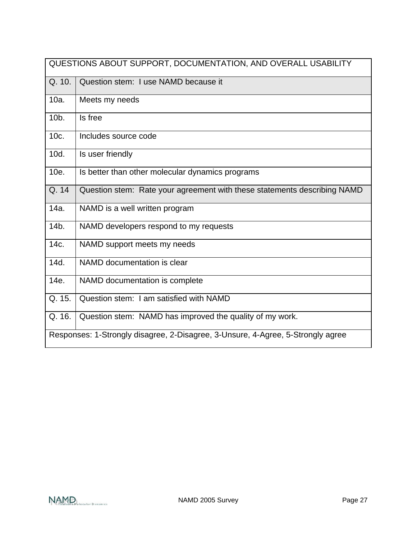|                                                                                 | QUESTIONS ABOUT SUPPORT, DOCUMENTATION, AND OVERALL USABILITY            |  |
|---------------------------------------------------------------------------------|--------------------------------------------------------------------------|--|
| Q. 10.                                                                          | Question stem: I use NAMD because it                                     |  |
| 10a.                                                                            | Meets my needs                                                           |  |
| 10b.                                                                            | Is free                                                                  |  |
| 10c.                                                                            | Includes source code                                                     |  |
| 10d.                                                                            | Is user friendly                                                         |  |
| 10e.                                                                            | Is better than other molecular dynamics programs                         |  |
| Q. 14                                                                           | Question stem: Rate your agreement with these statements describing NAMD |  |
| 14a.                                                                            | NAMD is a well written program                                           |  |
| $14b$ .                                                                         | NAMD developers respond to my requests                                   |  |
| 14c.                                                                            | NAMD support meets my needs                                              |  |
| 14d.                                                                            | NAMD documentation is clear                                              |  |
| 14e.                                                                            | NAMD documentation is complete                                           |  |
| Q. 15.                                                                          | Question stem: I am satisfied with NAMD                                  |  |
| Q. 16.                                                                          | Question stem: NAMD has improved the quality of my work.                 |  |
| Responses: 1-Strongly disagree, 2-Disagree, 3-Unsure, 4-Agree, 5-Strongly agree |                                                                          |  |

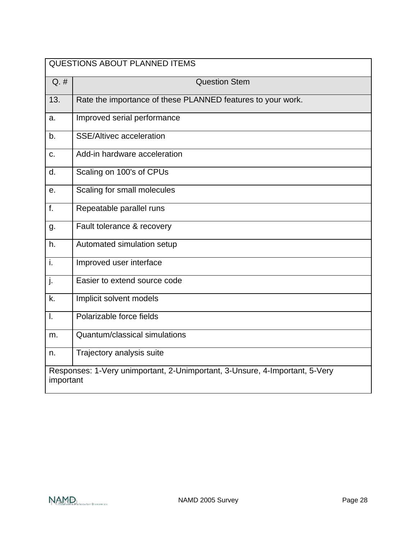| <b>QUESTIONS ABOUT PLANNED ITEMS</b>                                                     |                                                             |  |
|------------------------------------------------------------------------------------------|-------------------------------------------------------------|--|
| $Q. \#$                                                                                  | <b>Question Stem</b>                                        |  |
| 13.                                                                                      | Rate the importance of these PLANNED features to your work. |  |
| a.                                                                                       | Improved serial performance                                 |  |
| b.                                                                                       | <b>SSE/Altivec acceleration</b>                             |  |
| C.                                                                                       | Add-in hardware acceleration                                |  |
| d.                                                                                       | Scaling on 100's of CPUs                                    |  |
| е.                                                                                       | Scaling for small molecules                                 |  |
| f.                                                                                       | Repeatable parallel runs                                    |  |
| g.                                                                                       | Fault tolerance & recovery                                  |  |
| h.                                                                                       | Automated simulation setup                                  |  |
| i.                                                                                       | Improved user interface                                     |  |
| j.                                                                                       | Easier to extend source code                                |  |
| k.                                                                                       | Implicit solvent models                                     |  |
| $\mathbf{I}$ .                                                                           | Polarizable force fields                                    |  |
| m.                                                                                       | Quantum/classical simulations                               |  |
| n.                                                                                       | Trajectory analysis suite                                   |  |
| Responses: 1-Very unimportant, 2-Unimportant, 3-Unsure, 4-Important, 5-Very<br>important |                                                             |  |